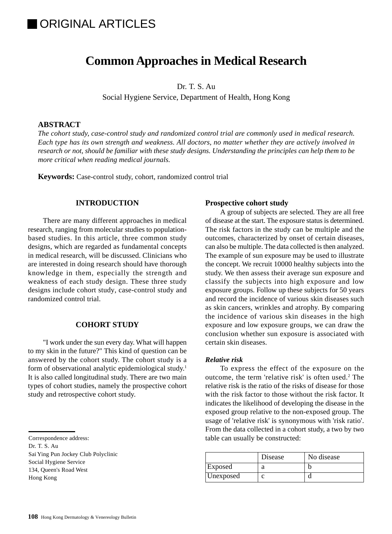# IORIGINAL ARTICLES

## **Common Approaches in Medical Research**

Dr. T. S. Au

Social Hygiene Service, Department of Health, Hong Kong

#### **ABSTRACT**

*The cohort study, case-control study and randomized control trial are commonly used in medical research. Each type has its own strength and weakness. All doctors, no matter whether they are actively involved in research or not, should be familiar with these study designs. Understanding the principles can help them to be more critical when reading medical journals.*

**Keywords:** Case-control study, cohort, randomized control trial

#### **INTRODUCTION**

There are many different approaches in medical research, ranging from molecular studies to populationbased studies. In this article, three common study designs, which are regarded as fundamental concepts in medical research, will be discussed. Clinicians who are interested in doing research should have thorough knowledge in them, especially the strength and weakness of each study design. These three study designs include cohort study, case-control study and randomized control trial.

#### **COHORT STUDY**

"I work under the sun every day. What will happen to my skin in the future?" This kind of question can be answered by the cohort study. The cohort study is a form of observational analytic epidemiological study.1 It is also called longitudinal study. There are two main types of cohort studies, namely the prospective cohort study and retrospective cohort study.

- Dr. T. S. Au
- Sai Ying Pun Jockey Club Polyclinic Social Hygiene Service 134, Queen's Road West Hong Kong

#### **Prospective cohort study**

A group of subjects are selected. They are all free of disease at the start. The exposure status is determined. The risk factors in the study can be multiple and the outcomes, characterized by onset of certain diseases, can also be multiple. The data collected is then analyzed. The example of sun exposure may be used to illustrate the concept. We recruit 10000 healthy subjects into the study. We then assess their average sun exposure and classify the subjects into high exposure and low exposure groups. Follow up these subjects for 50 years and record the incidence of various skin diseases such as skin cancers, wrinkles and atrophy. By comparing the incidence of various skin diseases in the high exposure and low exposure groups, we can draw the conclusion whether sun exposure is associated with certain skin diseases.

#### *Relative risk*

To express the effect of the exposure on the outcome, the term 'relative risk' is often used.<sup>2</sup> The relative risk is the ratio of the risks of disease for those with the risk factor to those without the risk factor. It indicates the likelihood of developing the disease in the exposed group relative to the non-exposed group. The usage of 'relative risk' is synonymous with 'risk ratio'. From the data collected in a cohort study, a two by two table can usually be constructed:

|           | Disease | No disease |
|-----------|---------|------------|
| Exposed   |         |            |
| Unexposed |         |            |

Correspondence address: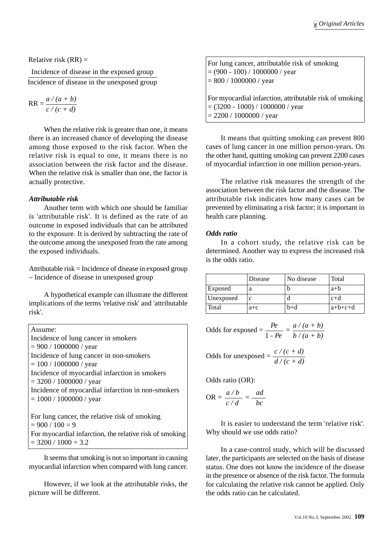Relative risk  $(RR)$  =

Incidence of disease in the exposed group Incidence of disease in the unexposed group

$$
RR = \frac{a/(a+b)}{c/(c+d)}
$$

When the relative risk is greater than one, it means there is an increased chance of developing the disease among those exposed to the risk factor. When the relative risk is equal to one, it means there is no association between the risk factor and the disease. When the relative risk is smaller than one, the factor is actually protective.

## *Attributable risk*

Another term with which one should be familiar is 'attributable risk'. It is defined as the rate of an outcome in exposed individuals that can be attributed to the exposure. It is derived by subtracting the rate of the outcome among the unexposed from the rate among the exposed individuals.

Attributable risk = Incidence of disease in exposed group – Incidence of disease in unexposed group

A hypothetical example can illustrate the different implications of the terms 'relative risk' and 'attributable risk'.

| Assume:                                                 |
|---------------------------------------------------------|
| Incidence of lung cancer in smokers                     |
| $= 900 / 1000000 / year$                                |
| Incidence of lung cancer in non-smokers                 |
| $= 100 / 1000000 / year$                                |
| Incidence of myocardial infarction in smokers           |
| $=$ 3200 / 1000000 / year                               |
| Incidence of myocardial infarction in non-smokers       |
| $= 1000 / 1000000 / year$                               |
|                                                         |
| For lung cancer, the relative risk of smoking           |
| $= 900 / 100 = 9$                                       |
| For myocardial infarction, the relative risk of smoking |
| $=$ 3200 / 1000 $=$ 3.2                                 |

It seems that smoking is not so important in causing myocardial infarction when compared with lung cancer.

However, if we look at the attributable risks, the picture will be different.

For lung cancer, attributable risk of smoking  $= (900 - 100) / 1000000 / year$  $= 800 / 1000000 / year$ For myocardial infarction, attributable risk of smoking  $= (3200 - 1000) / 1000000 / year$  $= 2200 / 1000000 /$  year

It means that quitting smoking can prevent 800 cases of lung cancer in one million person-years. On the other hand, quitting smoking can prevent 2200 cases of myocardial infarction in one million person-years.

The relative risk measures the strength of the association between the risk factor and the disease. The attributable risk indicates how many cases can be prevented by eliminating a risk factor; it is important in health care planning.

## *Odds ratio*

In a cohort study, the relative risk can be determined. Another way to express the increased risk is the odds ratio.

|           | Disease | No disease | Total     |
|-----------|---------|------------|-----------|
| Exposed   | a       |            | $a+b$     |
| Unexposed | с       |            | $c+d$     |
| Total     | $a + c$ | b+d        | $a+b+c+d$ |

Odds for exposed = 
$$
\frac{Pe}{1 - Pe} = \frac{a/(a+b)}{b/(a+b)}
$$

Odds for unexposed =  $\frac{c/(c+d)}{1/(c+1)}$ *d / (c + d)*

Odds ratio (OR):

$$
OR = \frac{a/b}{c/d} = \frac{ad}{bc}
$$

It is easier to understand the term 'relative risk'. Why should we use odds ratio?

In a case-control study, which will be discussed later, the participants are selected on the basis of disease status. One does not know the incidence of the disease in the presence or absence of the risk factor. The formula for calculating the relative risk cannot be applied. Only the odds ratio can be calculated.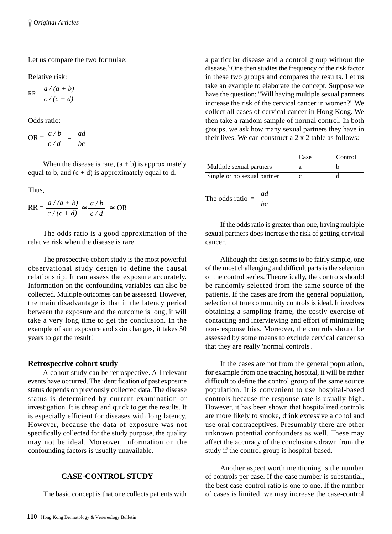Let us compare the two formulae:

Relative risk:

$$
RR = \frac{a/(a+b)}{c/(c+d)}
$$

Odds ratio:

$$
OR = \frac{a/b}{c/d} = \frac{ad}{bc}
$$

When the disease is rare,  $(a + b)$  is approximately equal to b, and  $(c + d)$  is approximately equal to d.

Thus,

$$
RR = \frac{a/(a+b)}{c/(c+d)} \approx \frac{a/b}{c/d} \approx OR
$$

The odds ratio is a good approximation of the relative risk when the disease is rare.

The prospective cohort study is the most powerful observational study design to define the causal relationship. It can assess the exposure accurately. Information on the confounding variables can also be collected. Multiple outcomes can be assessed. However, the main disadvantage is that if the latency period between the exposure and the outcome is long, it will take a very long time to get the conclusion. In the example of sun exposure and skin changes, it takes 50 years to get the result!

#### **Retrospective cohort study**

A cohort study can be retrospective. All relevant events have occurred. The identification of past exposure status depends on previously collected data. The disease status is determined by current examination or investigation. It is cheap and quick to get the results. It is especially efficient for diseases with long latency. However, because the data of exposure was not specifically collected for the study purpose, the quality may not be ideal. Moreover, information on the confounding factors is usually unavailable.

## **CASE-CONTROL STUDY**

The basic concept is that one collects patients with

a particular disease and a control group without the disease.3 One then studies the frequency of the risk factor in these two groups and compares the results. Let us take an example to elaborate the concept. Suppose we have the question: "Will having multiple sexual partners increase the risk of the cervical cancer in women?" We collect all cases of cervical cancer in Hong Kong. We then take a random sample of normal control. In both groups, we ask how many sexual partners they have in their lives. We can construct a 2 x 2 table as follows:

|                             | Case | Control |
|-----------------------------|------|---------|
| Multiple sexual partners    |      |         |
| Single or no sexual partner |      |         |

The odds ratio  $=$   $\frac{ad}{1}$ 

If the odds ratio is greater than one, having multiple sexual partners does increase the risk of getting cervical cancer.

Although the design seems to be fairly simple, one of the most challenging and difficult parts is the selection of the control series. Theoretically, the controls should be randomly selected from the same source of the patients. If the cases are from the general population, selection of true community controls is ideal. It involves obtaining a sampling frame, the costly exercise of contacting and interviewing and effort of minimizing non-response bias. Moreover, the controls should be assessed by some means to exclude cervical cancer so that they are really 'normal controls'.

If the cases are not from the general population, for example from one teaching hospital, it will be rather difficult to define the control group of the same source population. It is convenient to use hospital-based controls because the response rate is usually high. However, it has been shown that hospitalized controls are more likely to smoke, drink excessive alcohol and use oral contraceptives. Presumably there are other unknown potential confounders as well. These may affect the accuracy of the conclusions drawn from the study if the control group is hospital-based.

Another aspect worth mentioning is the number of controls per case. If the case number is substantial, the best case-control ratio is one to one. If the number of cases is limited, we may increase the case-control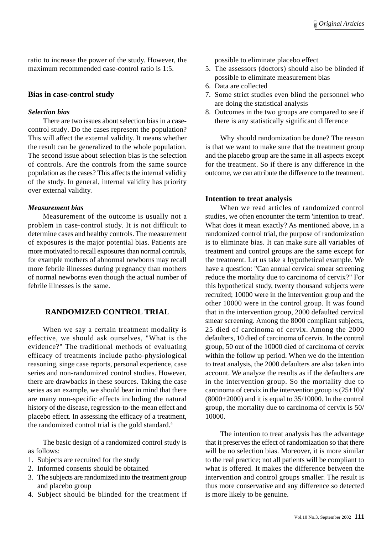ratio to increase the power of the study. However, the maximum recommended case-control ratio is 1:5.

#### **Bias in case-control study**

#### *Selection bias*

There are two issues about selection bias in a casecontrol study. Do the cases represent the population? This will affect the external validity. It means whether the result can be generalized to the whole population. The second issue about selection bias is the selection of controls. Are the controls from the same source population as the cases? This affects the internal validity of the study. In general, internal validity has priority over external validity.

#### *Measurement bias*

Measurement of the outcome is usually not a problem in case-control study. It is not difficult to determine cases and healthy controls. The measurement of exposures is the major potential bias. Patients are more motivated to recall exposures than normal controls, for example mothers of abnormal newborns may recall more febrile illnesses during pregnancy than mothers of normal newborns even though the actual number of febrile illnesses is the same.

## **RANDOMIZED CONTROL TRIAL**

When we say a certain treatment modality is effective, we should ask ourselves, "What is the evidence?" The traditional methods of evaluating efficacy of treatments include patho-physiological reasoning, singe case reports, personal experience, case series and non-randomized control studies. However, there are drawbacks in these sources. Taking the case series as an example, we should bear in mind that there are many non-specific effects including the natural history of the disease, regression-to-the-mean effect and placebo effect. In assessing the efficacy of a treatment, the randomized control trial is the gold standard.<sup>4</sup>

The basic design of a randomized control study is as follows:

- 1. Subjects are recruited for the study
- 2. Informed consents should be obtained
- 3. The subjects are randomized into the treatment group and placebo group
- 4. Subject should be blinded for the treatment if

possible to eliminate placebo effect

- 5. The assessors (doctors) should also be blinded if possible to eliminate measurement bias
- 6. Data are collected
- 7. Some strict studies even blind the personnel who are doing the statistical analysis
- 8. Outcomes in the two groups are compared to see if there is any statistically significant difference

Why should randomization be done? The reason is that we want to make sure that the treatment group and the placebo group are the same in all aspects except for the treatment. So if there is any difference in the outcome, we can attribute the difference to the treatment.

#### **Intention to treat analysis**

When we read articles of randomized control studies, we often encounter the term 'intention to treat'. What does it mean exactly? As mentioned above, in a randomized control trial, the purpose of randomization is to eliminate bias. It can make sure all variables of treatment and control groups are the same except for the treatment. Let us take a hypothetical example. We have a question: "Can annual cervical smear screening reduce the mortality due to carcinoma of cervix?" For this hypothetical study, twenty thousand subjects were recruited; 10000 were in the intervention group and the other 10000 were in the control group. It was found that in the intervention group, 2000 defaulted cervical smear screening. Among the 8000 compliant subjects, 25 died of carcinoma of cervix. Among the 2000 defaulters, 10 died of carcinoma of cervix. In the control group, 50 out of the 10000 died of carcinoma of cervix within the follow up period. When we do the intention to treat analysis, the 2000 defaulters are also taken into account. We analyze the results as if the defaulters are in the intervention group. So the mortality due to carcinoma of cervix in the intervention group is  $(25+10)$ / (8000+2000) and it is equal to 35/10000. In the control group, the mortality due to carcinoma of cervix is 50/ 10000.

The intention to treat analysis has the advantage that it preserves the effect of randomization so that there will be no selection bias. Moreover, it is more similar to the real practice; not all patients will be compliant to what is offered. It makes the difference between the intervention and control groups smaller. The result is thus more conservative and any difference so detected is more likely to be genuine.